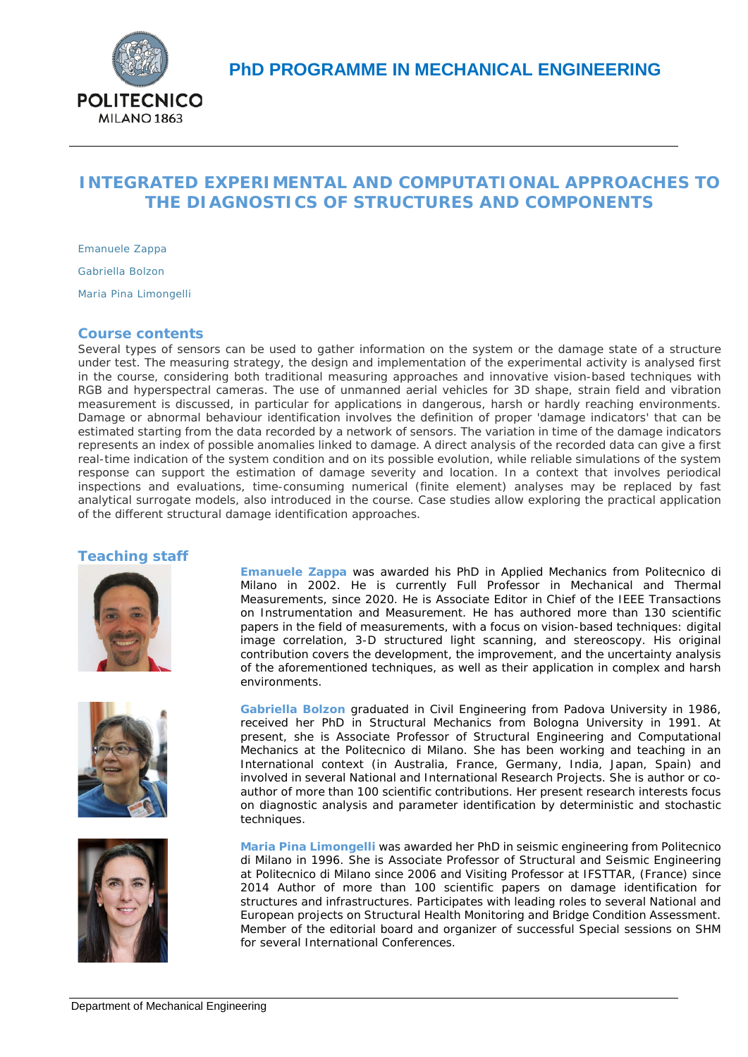

# **INTEGRATED EXPERIMENTAL AND COMPUTATIONAL APPROACHES TO THE DIAGNOSTICS OF STRUCTURES AND COMPONENTS**

*Emanuele Zappa Gabriella Bolzon Maria Pina Limongelli*

# **Course contents**

Several types of sensors can be used to gather information on the system or the damage state of a structure under test. The measuring strategy, the design and implementation of the experimental activity is analysed first in the course, considering both traditional measuring approaches and innovative vision-based techniques with RGB and hyperspectral cameras. The use of unmanned aerial vehicles for 3D shape, strain field and vibration measurement is discussed, in particular for applications in dangerous, harsh or hardly reaching environments. Damage or abnormal behaviour identification involves the definition of proper 'damage indicators' that can be estimated starting from the data recorded by a network of sensors. The variation in time of the damage indicators represents an index of possible anomalies linked to damage. A direct analysis of the recorded data can give a first real-time indication of the system condition and on its possible evolution, while reliable simulations of the system response can support the estimation of damage severity and location. In a context that involves periodical inspections and evaluations, time-consuming numerical (finite element) analyses may be replaced by fast analytical surrogate models, also introduced in the course. Case studies allow exploring the practical application of the different structural damage identification approaches.

### **Teaching staff**







**Emanuele Zappa** was awarded his PhD in Applied Mechanics from Politecnico di Milano in 2002. He is currently Full Professor in Mechanical and Thermal Measurements, since 2020. He is Associate Editor in Chief of the IEEE Transactions on Instrumentation and Measurement. He has authored more than 130 scientific papers in the field of measurements, with a focus on vision-based techniques: digital image correlation, 3-D structured light scanning, and stereoscopy. His original contribution covers the development, the improvement, and the uncertainty analysis of the aforementioned techniques, as well as their application in complex and harsh environments.

**Gabriella Bolzon** graduated in Civil Engineering from Padova University in 1986, received her PhD in Structural Mechanics from Bologna University in 1991. At present, she is Associate Professor of Structural Engineering and Computational Mechanics at the Politecnico di Milano. She has been working and teaching in an International context (in Australia, France, Germany, India, Japan, Spain) and involved in several National and International Research Projects. She is author or coauthor of more than 100 scientific contributions. Her present research interests focus on diagnostic analysis and parameter identification by deterministic and stochastic techniques.

**Maria Pina Limongelli** was awarded her PhD in seismic engineering from Politecnico di Milano in 1996. She is Associate Professor of Structural and Seismic Engineering at Politecnico di Milano since 2006 and Visiting Professor at IFSTTAR, (France) since 2014 Author of more than 100 scientific papers on damage identification for structures and infrastructures. Participates with leading roles to several National and European projects on Structural Health Monitoring and Bridge Condition Assessment. Member of the editorial board and organizer of successful Special sessions on SHM for several International Conferences.